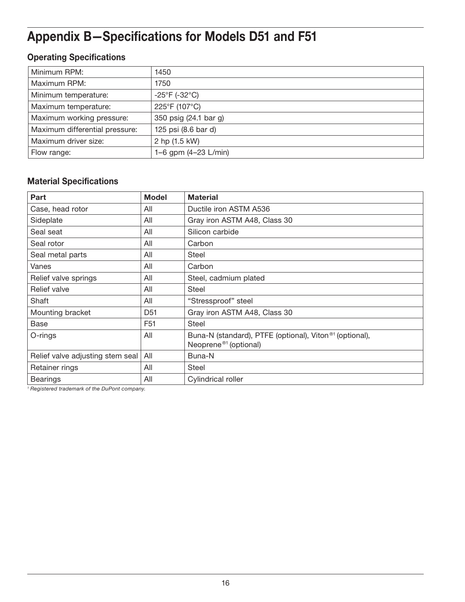# Appendix B—Specifications for Models D51 and F51

## Operating Specifications

| Minimum RPM:                   | 1450                         |
|--------------------------------|------------------------------|
| Maximum RPM:                   | 1750                         |
| Minimum temperature:           | $-25^{\circ}F(-32^{\circ}C)$ |
| Maximum temperature:           | 225°F (107°C)                |
| Maximum working pressure:      | 350 psig (24.1 bar g)        |
| Maximum differential pressure: | 125 psi (8.6 bar d)          |
| Maximum driver size:           | 2 hp (1.5 kW)                |
| Flow range:                    | 1–6 gpm $(4-23 L/min)$       |

### Material Specifications

| Part                             | <b>Model</b>    | <b>Material</b>                                                                                          |
|----------------------------------|-----------------|----------------------------------------------------------------------------------------------------------|
| Case, head rotor                 | All             | Ductile iron ASTM A536                                                                                   |
| Sideplate                        | All             | Gray iron ASTM A48, Class 30                                                                             |
| Seal seat                        | All             | Silicon carbide                                                                                          |
| Seal rotor                       | All             | Carbon                                                                                                   |
| Seal metal parts                 | All             | Steel                                                                                                    |
| Vanes                            | All             | Carbon                                                                                                   |
| Relief valve springs             | All             | Steel, cadmium plated                                                                                    |
| Relief valve                     | All             | <b>Steel</b>                                                                                             |
| Shaft                            | All             | "Stressproof" steel                                                                                      |
| Mounting bracket                 | D <sub>51</sub> | Gray iron ASTM A48, Class 30                                                                             |
| <b>Base</b>                      | F <sub>51</sub> | <b>Steel</b>                                                                                             |
| O-rings                          | All             | Buna-N (standard), PTFE (optional), Viton <sup>®1</sup> (optional),<br>Neoprene <sup>®1</sup> (optional) |
| Relief valve adjusting stem seal | All             | Buna-N                                                                                                   |
| Retainer rings                   | All             | Steel                                                                                                    |
| <b>Bearings</b>                  | All             | Cylindrical roller                                                                                       |

*<sup>1</sup> Registered trademark of the DuPont company.*